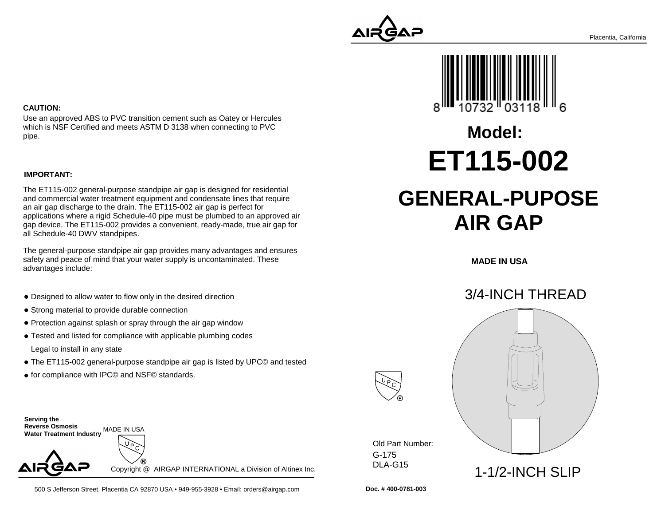

# **Model:ET115-002GENERAL-PUPOSEAIR GAP**

**MADE IN USA**



G-175 DLA-G15Old Part Number:

**CAUTION:**

Use an approved ABS to PVC transition cement such as Oatey or Herculeswhich is NSF Certified and meets ASTM D 3138 when connecting to PVCpipe.

### **IMPORTANT:**

The ET115-002 general-purpose standpipe air gap is designed for residential and commercial water treatment equipment and condensate lines that requirean air gap discharge to the drain. The ET115-002 air gap is perfect for applications where a rigid Schedule-40 pipe must be plumbed to an approved air gap device. The ET115-002 provides a convenient, ready-made, true air gap forall Schedule-40 DWV standpipes.

The general-purpose standpipe air gap provides many advantages and ensuressafety and peace of mind that your water supply is uncontaminated. Theseadvantages include:

- Designed to allow water to flow only in the desired direction
- Strong material to provide durable connection
- Protection against splash or spray through the air gap window
- Tested and listed for compliance with applicable plumbing codes Legal to install in any state
- The ET115-002 general-purpose standpipe air gap is listed by UPC© and tested
- for compliance with IPC© and NSF© standards.

**Serving the Reverse Osmosis Water Treatment Industry**MADE IN USA

Copyright @ AIRGAP INTERNATIONAL a Division of Altinex Inc.

500 S Jefferson Street, Placentia CA 92870 USA • 949-955-3928 • Email: orders@airgap.com

**Doc. # 400-0781-003**